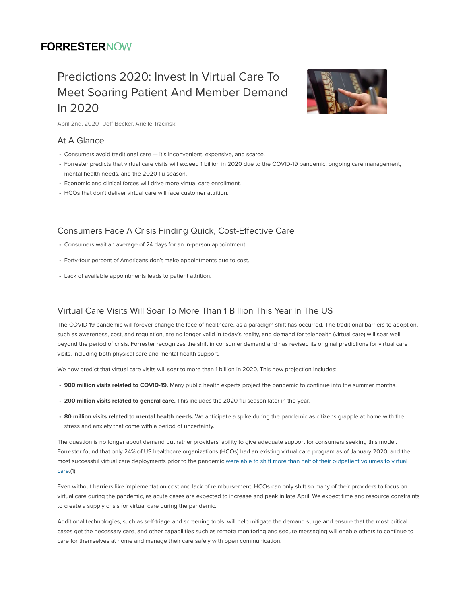## **FORRESTERNOW**

## Predictions 2020: Invest In Virtual Care To Meet Soaring Patient And Member Demand In 2020



April 2nd, 2020 | Jeff Becker, Arielle Trzcinski

### At A Glance

- Consumers avoid traditional care it's inconvenient, expensive, and scarce.
- Forrester predicts that virtual care visits will exceed 1 billion in 2020 due to the COVID-19 pandemic, ongoing care management, mental health needs, and the 2020 flu season.
- Economic and clinical forces will drive more virtual care enrollment.
- HCOs that don't deliver virtual care will face customer attrition.

#### Consumers Face A Crisis Finding Quick, Cost-Effective Care

- Consumers wait an average of 24 days for an in-person appointment.
- Forty-four percent of Americans don't make appointments due to cost.
- Lack of available appointments leads to patient attrition.

#### Virtual Care Visits Will Soar To More Than 1 Billion This Year In The US

The COVID-19 pandemic will forever change the face of healthcare, as a paradigm shift has occurred. The traditional barriers to adoption, such as awareness, cost, and regulation, are no longer valid in today's reality, and demand for telehealth (virtual care) will soar well beyond the period of crisis. Forrester recognizes the shift in consumer demand and has revised its original predictions for virtual care visits, including both physical care and mental health support.

We now predict that virtual care visits will soar to more than 1 billion in 2020. This new projection includes:

- 900 million visits related to COVID-19. Many public health experts project the pandemic to continue into the summer months.
- 200 million visits related to general care. This includes the 2020 flu season later in the year.
- 80 million visits related to mental health needs. We anticipate a spike during the pandemic as citizens grapple at home with the stress and anxiety that come with a period of uncertainty.

The question is no longer about demand but rather providers' ability to give adequate support for consumers seeking this model. Forrester found that only 24% of US healthcare organizations (HCOs) had an existing virtual care program as of January 2020, and the most successful virtual care deployments prior to the pandemic were able to shift more than half of their outpatient volumes to virtual care.(1)

Even without barriers like implementation cost and lack of reimbursement, HCOs can only shift so many of their providers to focus on virtual care during the pandemic, as acute cases are expected to increase and peak in late April. We expect time and resource constraints to create a supply crisis for virtual care during the pandemic.

Additional technologies, such as self-triage and screening tools, will help mitigate the demand surge and ensure that the most critical cases get the necessary care, and other capabilities such as remote monitoring and secure messaging will enable others to continue to care for themselves at home and manage their care safely with open communication.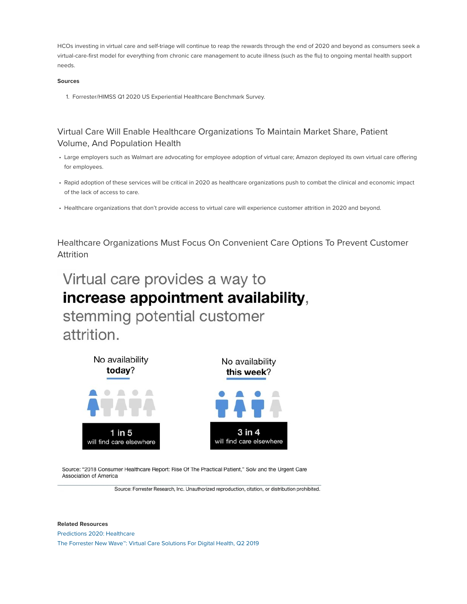HCOs investing in virtual care and self-triage will continue to reap the rewards through the end of 2020 and beyond as consumers seek a virtual-care-first model for everything from chronic care management to acute illness (such as the flu) to ongoing mental health support needs.

#### Sources

1. Forrester/HIMSS Q1 2020 US Experiential Healthcare Benchmark Survey.

### Virtual Care Will Enable Healthcare Organizations To Maintain Market Share, Patient Volume, And Population Health

- Large employers such as Walmart are advocating for employee adoption of virtual care; Amazon deployed its own virtual care offering for employees.
- Rapid adoption of these services will be critical in 2020 as healthcare organizations push to combat the clinical and economic impact of the lack of access to care.
- Healthcare organizations that don't provide access to virtual care will experience customer attrition in 2020 and beyond.

Healthcare Organizations Must Focus On Convenient Care Options To Prevent Customer Attrition

# Virtual care provides a way to increase appointment availability,

stemming potential customer attrition.



Source: "2018 Consumer Healthcare Report: Rise Of The Practical Patient," Solv and the Urgent Care Association of America

Source: Forrester Research, Inc. Unauthorized reproduction, citation, or distribution prohibited.

Related Resources Predictions 2020: Healthcare The Forrester New Wave™: Virtual Care Solutions For Digital Health, Q2 2019